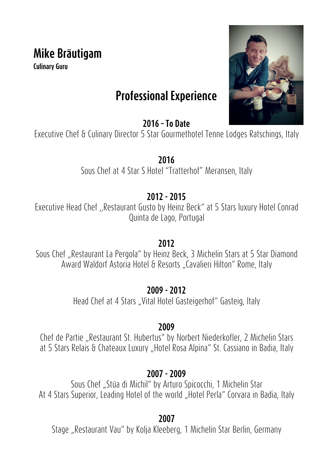# **Mike Bräutigam**

**Culinary Guru**



## **Professional Experience**

**2016 – To Date**

Executive Chef & Culinary Director 5 Star Gourmethotel Tenne Lodges Ratschings, Italy

**2016** Sous Chef at 4 Star S Hotel "Tratterhof" Meransen, Italy

## **2012 - 2015**

Executive Head Chef ,,Restaurant Gusto by Heinz Beck" at 5 Stars luxury Hotel Conrad Quinta de Lago, Portugal

### **2012**

Sous Chef "Restaurant La Pergola" by Heinz Beck, 3 Michelin Stars at 5 Star Diamond Award Waldorf Astoria Hotel & Resorts "Cavalieri Hilton" Rome, Italy

## **2009 - 2012**

Head Chef at 4 Stars "Vital Hotel Gasteigerhof" Gasteig, Italy

## **2009**

Chef de Partie "Restaurant St. Hubertus" by Norbert Niederkofler, 2 Michelin Stars at 5 Stars Relais & Chateaux Luxury "Hotel Rosa Alpina" St. Cassiano in Badia, Italy

## **2007 - 2009**

Sous Chef "Stüa di Michil" by Arturo Spicocchi, 1 Michelin Star At 4 Stars Superior, Leading Hotel of the world "Hotel Perla" Corvara in Badia, Italy

**2007**

Stage "Restaurant Vau" by Kolja Kleeberg, 1 Michelin Star Berlin, Germany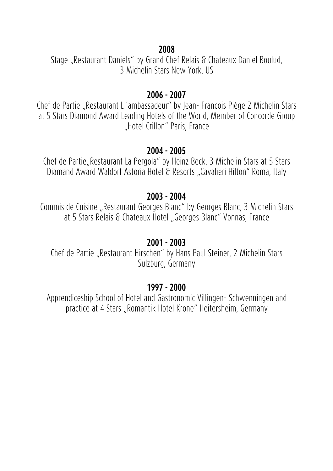#### **2008**

Stage "Restaurant Daniels" by Grand Chef Relais & Chateaux Daniel Boulud, 3 Michelin Stars New York, US

#### **2006 - 2007**

Chef de Partie "Restaurant L'ambassadeur" by Jean-Francois Piège 2 Michelin Stars at 5 Stars Diamond Award Leading Hotels of the World, Member of Concorde Group "Hotel Crillon" Paris, France

#### **2004 - 2005**

Chef de Partie, Restaurant La Pergola" by Heinz Beck, 3 Michelin Stars at 5 Stars Diamand Award Waldorf Astoria Hotel & Resorts "Cavalieri Hilton" Roma, Italy

#### **2003 - 2004**

Commis de Cuisine "Restaurant Georges Blanc" by Georges Blanc, 3 Michelin Stars at 5 Stars Relais & Chateaux Hotel "Georges Blanc" Vonnas, France

#### **2001 - 2003**

Chef de Partie "Restaurant Hirschen" by Hans Paul Steiner, 2 Michelin Stars Sulzburg, Germany

#### **1997 - 2000**

Apprendiceship School of Hotel and Gastronomic Villingen- Schwenningen and practice at 4 Stars "Romantik Hotel Krone" Heitersheim, Germany